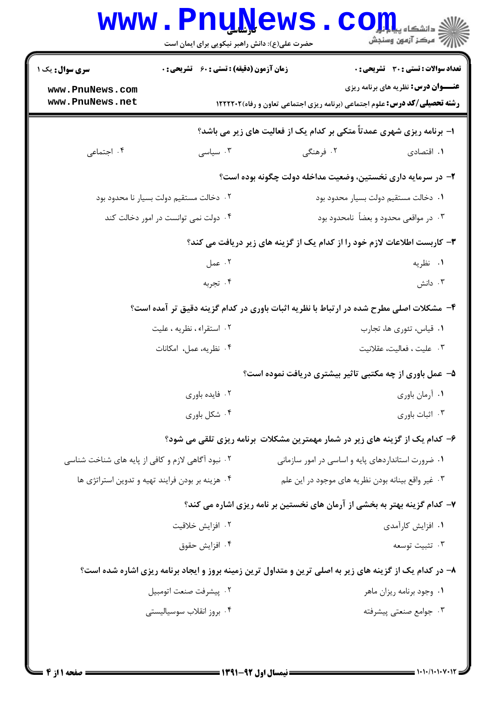|                                                   |                                                                       | حضرت علی(ع): دانش راهبر نیکویی برای ایمان است                                                           |                                            |  |  |  |
|---------------------------------------------------|-----------------------------------------------------------------------|---------------------------------------------------------------------------------------------------------|--------------------------------------------|--|--|--|
| سری سوال: یک ۱                                    | <b>زمان آزمون (دقیقه) : تستی : 60 ٪ تشریحی : 0</b>                    |                                                                                                         | تعداد سوالات : تستى : 30 - تشريحي : 0      |  |  |  |
| www.PnuNews.com<br>www.PnuNews.net                |                                                                       | <b>رشته تحصیلی/کد درس:</b> علوم اجتماعی (برنامه ریزی اجتماعی تعاون و رفاه)1۲۲۲۲۰۲                       | <b>عنـــوان درس:</b> نظریه های برنامه ریزی |  |  |  |
|                                                   | ا- برنامه ریزی شهری عمدتاً متکی بر کدام یک از فعالیت های زیر می باشد؟ |                                                                                                         |                                            |  |  |  |
| ۰۴ اجتماعی                                        | ۰۳ سیاسی                                                              | ۰۲ فرهنگی                                                                                               | ۰۱ اقتصادی                                 |  |  |  |
|                                                   |                                                                       | ۲– در سرمایه داری نخستین، وضعیت مداخله دولت چگونه بوده است؟                                             |                                            |  |  |  |
| ۰۲ دخالت مستقیم دولت بسیار نا محدود بود           |                                                                       |                                                                                                         | ٠١. دخالت مستقيم دولت بسيار محدود بود      |  |  |  |
| ۰۴ دولت نمی توانست در امور دخالت کند              |                                                                       | ۰۳ در مواقعی محدود و بعضاً نامحدود بود                                                                  |                                            |  |  |  |
|                                                   |                                                                       | ۳- کاربست اطلاعات لازم خود را از کدام یک از گزینه های زیر دریافت می کند؟                                |                                            |  |  |  |
|                                                   | ۰۲ عمل                                                                |                                                                                                         | ۰۱ نظریه                                   |  |  |  |
|                                                   | ۰۴ تجربه                                                              |                                                                                                         | ۰۳ دانش                                    |  |  |  |
|                                                   |                                                                       | ۴- مشکلات اصلی مطرح شده در ارتباط با نظریه اثبات باوری در کدام گزینه دقیق تر آمده است؟                  |                                            |  |  |  |
| ۰۲ استقراء، نظریه ، علیت                          |                                                                       | ٠١ قياس، تئوري ها، تجارب                                                                                |                                            |  |  |  |
|                                                   | ۰۴ نظریه، عمل، امکانات                                                |                                                                                                         | ٠٣ عليت ، فعاليت، عقلانيت                  |  |  |  |
|                                                   |                                                                       | ۵- عمل باوری از چه مکتبی تاثیر بیشتری دریافت نموده است؟                                                 |                                            |  |  |  |
| ٠٢ فايده باورى                                    |                                                                       | ٠١ آرمان باوري                                                                                          |                                            |  |  |  |
| ۰۴ شکل باوری                                      |                                                                       | ۰۳ اثبات باوری                                                                                          |                                            |  |  |  |
|                                                   |                                                                       | ۶– کدام یک از گزینه های زیر در شمار مهمترین مشکلات برنامه ریزی تلقی می شود؟                             |                                            |  |  |  |
| ۰۲ نبود آگاهی لازم و کافی از پایه های شناخت شناسی |                                                                       | ۰۱ ضرورت استانداردهای پایه و اساسی در امور سازمانی                                                      |                                            |  |  |  |
| ۰۴ هزینه بر بودن فرایند تهیه و تدوین استراتژی ها  |                                                                       | ۰۳ غیر واقع بینانه بودن نظریه های موجود در این علم                                                      |                                            |  |  |  |
|                                                   |                                                                       | ۷- کدام گزینه بهتر به بخشی از آرمان های نخستین بر نامه ریزی اشاره می کند؟                               |                                            |  |  |  |
| ۰۲ افزایش خلاقیت                                  |                                                                       | ۰۱ افزایش کارآمدی                                                                                       |                                            |  |  |  |
|                                                   | ۰۴ افزايش حقوق                                                        |                                                                                                         | ۰۳ تثبيت توسعه                             |  |  |  |
|                                                   |                                                                       | ۸– در کدام یک از گزینه های زیر به اصلی ترین و متداول ترین زمینه بروز و ایجاد برنامه ریزی اشاره شده است؟ |                                            |  |  |  |
|                                                   | ٠٢ پيشرفت صنعت اتومبيل                                                |                                                                                                         | ۰۱ وجود برنامه ريزان ماهر                  |  |  |  |
|                                                   | ۰۴ بروز انقلاب سوسیالیستی                                             |                                                                                                         | ۰۳ جوامع صنعتی پیشرفته                     |  |  |  |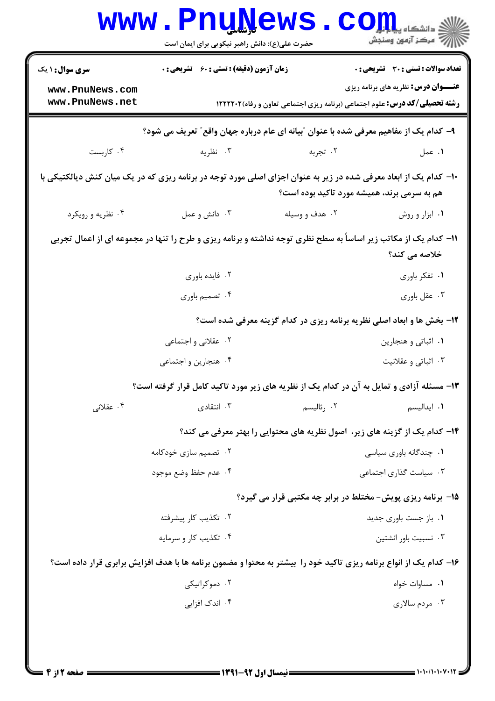|                                                                                                                                                                  | <b>www.PnuNews</b><br>حضرت علی(ع): دانش راهبر نیکویی برای ایمان است                   |                                                                                                                    | $\mathbf{COJJ}$ .<br>أأآت مركز آزمون وسنجش   |  |  |  |
|------------------------------------------------------------------------------------------------------------------------------------------------------------------|---------------------------------------------------------------------------------------|--------------------------------------------------------------------------------------------------------------------|----------------------------------------------|--|--|--|
| <b>سری سوال : ۱ یک</b>                                                                                                                                           | زمان آزمون (دقیقه) : تستی : 60 ٪ تشریحی : 0                                           |                                                                                                                    | <b>تعداد سوالات : تستی : 30 ٪ تشریحی : 0</b> |  |  |  |
| www.PnuNews.com<br>www.PnuNews.net                                                                                                                               |                                                                                       | <b>رشته تحصیلی/کد درس:</b> علوم اجتماعی (برنامه ریزی اجتماعی تعاون و رفاه)1۲۲۲۲۰۲                                  | <b>عنـــوان درس:</b> نظریه های برنامه ریزی   |  |  |  |
|                                                                                                                                                                  | ۹- کدام یک از مفاهیم معرفی شده با عنوان "بیانه ای عام درباره جهان واقع″ تعریف می شود؟ |                                                                                                                    |                                              |  |  |  |
| ۰۴ کاربست                                                                                                                                                        | ۰۳ نظریه                                                                              | ۰۲ تجربه                                                                                                           | ٠١ عمل                                       |  |  |  |
| ∙ا− کدام یک از ابعاد معرفی شده در زیر به عنوان اجزای اصلی مورد توجه در برنامه ریزی که در یک میان کنش دیالکتیکی با<br>هم به سرمی برند، همیشه مورد تاکید بوده است؟ |                                                                                       |                                                                                                                    |                                              |  |  |  |
| ۰۴ نظریه و رویکرد                                                                                                                                                | ۰۳ دانش و عمل                                                                         | ۰۲ هدف و وسیله                                                                                                     | ٠١ ابزار و روش                               |  |  |  |
| 11– کدام یک از مکاتب زیر اساساً به سطح نظری توجه نداشته و برنامه ریزی و طرح را تنها در مجموعه ای از اعمال تجربی<br>خلاصه می کند؟                                 |                                                                                       |                                                                                                                    |                                              |  |  |  |
|                                                                                                                                                                  | ۰۲ فایده باوری                                                                        |                                                                                                                    | ۰۱ تفکر باوری                                |  |  |  |
|                                                                                                                                                                  | ۰۴ تصمیم باوری                                                                        |                                                                                                                    | ۰۳ عقل باوري                                 |  |  |  |
| ۱۲- بخش ها و ابعاد اصلی نظریه برنامه ریزی در کدام گزینه معرفی شده است؟                                                                                           |                                                                                       |                                                                                                                    |                                              |  |  |  |
|                                                                                                                                                                  | ۰۲ عقلانی و اجتماعی                                                                   |                                                                                                                    | ۰۱ اثباتي و هنجارين                          |  |  |  |
|                                                                                                                                                                  | ۰۴ هنجارين و اجتماعي                                                                  |                                                                                                                    | ۰۳ اثباتی و عقلانیت                          |  |  |  |
|                                                                                                                                                                  |                                                                                       | ۱۳- مسئله آزادی و تمایل به آن در کدام یک از نظریه های زیر مورد تاکید کامل قرار گرفته است؟                          |                                              |  |  |  |
| ۰۴ عقلانی                                                                                                                                                        | ۰۳ انتقادی                                                                            | ۰۲ رئالیسم                                                                                                         | ٠١. ايداليسم                                 |  |  |  |
|                                                                                                                                                                  |                                                                                       | ۱۴– کدام یک از گزینه های زیر، اصول نظریه های محتوایی را بهتر معرفی می کند؟                                         |                                              |  |  |  |
|                                                                                                                                                                  | ۰۲ تصمیم سازی خودکامه                                                                 |                                                                                                                    | ۰۱ چندگانه باوری سیاسی                       |  |  |  |
|                                                                                                                                                                  | ۰۴ عدم حفظ وضع موجود                                                                  |                                                                                                                    | ۰۳ سیاست گذاری اجتماعی                       |  |  |  |
|                                                                                                                                                                  |                                                                                       | ۱۵- برنامه ریزی پویش- مختلط در برابر چه مکتبی قرار می گیرد؟                                                        |                                              |  |  |  |
|                                                                                                                                                                  | ۰۲ تکذیب کار پیشرفته                                                                  |                                                                                                                    | ۰۱ باز جست باوری جدید                        |  |  |  |
|                                                                                                                                                                  | ۰۴ تکذیب کار و سرمایه                                                                 |                                                                                                                    | ۰۳ نسبیت باور انشتین                         |  |  |  |
|                                                                                                                                                                  |                                                                                       | ۱۶– کدام یک از انواع برنامه ریزی تاکید خود را بیشتر به محتوا و مضمون برنامه ها با هدف افزایش برابری قرار داده است؟ |                                              |  |  |  |
|                                                                                                                                                                  | ۰۲ دموکراتیکی                                                                         |                                                                                                                    | ٠١. مساوات خواه                              |  |  |  |
|                                                                                                                                                                  | ۰۴ اندک افزایی                                                                        |                                                                                                                    | ۰۳ مردم سالاری                               |  |  |  |
|                                                                                                                                                                  |                                                                                       |                                                                                                                    |                                              |  |  |  |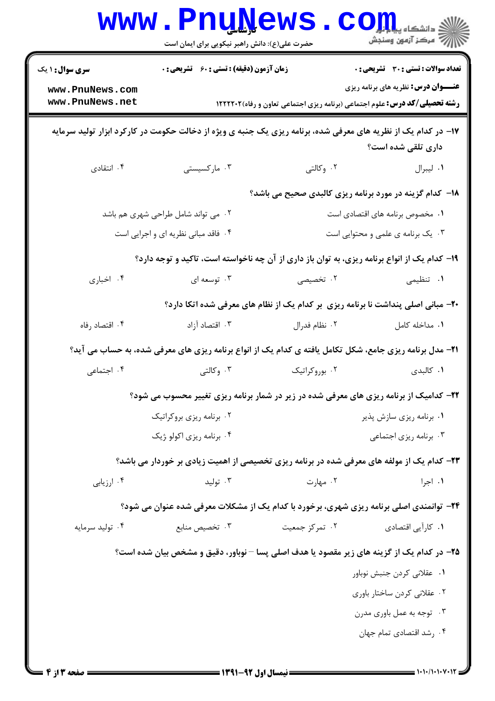|                                                                                              | <b>www.PnuNews</b><br>حضرت علی(ع): دانش راهبر نیکویی برای ایمان است                                             |                          | ران دانشڪاه پي <mark>ا ۽ اور</mark><br>ار⊂ مرڪز آزمون وسنڊش                                |  |
|----------------------------------------------------------------------------------------------|-----------------------------------------------------------------------------------------------------------------|--------------------------|--------------------------------------------------------------------------------------------|--|
| <b>سری سوال : ۱ یک</b><br>www.PnuNews.com<br>www.PnuNews.net                                 | <b>زمان آزمون (دقیقه) : تستی : 60 ٪ تشریحی : 0</b>                                                              |                          | <b>تعداد سوالات : تستی : 30 ٪ تشریحی : 0</b><br><b>عنـــوان درس:</b> نظریه های برنامه ریزی |  |
|                                                                                              |                                                                                                                 |                          | <b>رشته تحصیلی/کد درس:</b> علوم اجتماعی (برنامه ریزی اجتماعی تعاون و رفاه)1۲۲۲۲۰۲          |  |
|                                                                                              | ۱۷– در کدام یک از نظریه های معرفی شده، برنامه ریزی یک جنبه ی ویژه از دخالت حکومت در کارکرد ابزار تولید سرمایه   |                          | داری تلقی شده است؟                                                                         |  |
| ۰۴ انتقادی                                                                                   | ۰۳ مارکسیستی                                                                                                    | ۰۲ وکالتی                | ۰۱ ليبرال                                                                                  |  |
|                                                                                              |                                                                                                                 |                          | <b>۱۸</b> - کدام گزینه در مورد برنامه ریزی کالبدی صحیح می باشد؟                            |  |
|                                                                                              | ۰۲ می تواند شامل طراحی شهری هم باشد                                                                             |                          | ۰۱ مخصوص برنامه های اقتصادی است                                                            |  |
| ۰۳ یک برنامه ی علمی و محتوایی است<br>۰۴ فاقد مبانی نظریه ای و اجرایی است                     |                                                                                                                 |                          |                                                                                            |  |
| ۱۹- کدام یک از انواع برنامه ریزی، به توان باز داری از آن چه ناخواسته است، تاکید و توجه دارد؟ |                                                                                                                 |                          |                                                                                            |  |
| ۰۴ اخباری                                                                                    | ۰۳ توسعه ای                                                                                                     | ۰۲ تخصیصی                | ۰۱ تنظیمی                                                                                  |  |
| ۲۰- مبانی اصلی پنداشت نا برنامه ریزی ًبر کدام یک از نظام های معرفی شده اتکا دارد؟            |                                                                                                                 |                          |                                                                                            |  |
| ۰۴ اقتصاد رفاه                                                                               | ۰۳ اقتصاد آزاد                                                                                                  | ۰۲ نظام فدرال            | ٠١. مداخله كامل                                                                            |  |
|                                                                                              | <b>۲۱</b> - مدل برنامه ریزی جامع، شکل تکامل یافته ی کدام یک از انواع برنامه ریزی های معرفی شده، به حساب می آید؟ |                          |                                                                                            |  |
| ۰۴ اجتماعی                                                                                   | ۰۳ وکالتی                                                                                                       | ۰۲ بوروکراتیک            | ۰۱ کالبدی                                                                                  |  |
|                                                                                              | ۲۲- کدامیک از برنامه ریزی های معرفی شده در زیر در شمار برنامه ریزی تغییر محسوب می شود؟                          |                          |                                                                                            |  |
|                                                                                              | ۰۲ برنامه ریزی بروکراتیک                                                                                        | ٠١ برنامه ريزي سازش پذير |                                                                                            |  |
|                                                                                              | ۰۴ برنامه ریزی اکولو ژیک                                                                                        |                          | ۰۳ برنامه ریزی اجتماعی                                                                     |  |
|                                                                                              | ۲۳– کدام یک از مولفه های معرفی شده در برنامه ریزی تخصیصی از اهمیت زیادی بر خوردار می باشد؟                      |                          |                                                                                            |  |
| ۰۴ ارزیابی                                                                                   | ۰۳ تولید                                                                                                        | ۰۲ مهارت                 | ۰۱ اجرا                                                                                    |  |
|                                                                                              | <b>۲۴</b> - توانمندی اصلی برنامه ریزی شهری، برخورد با کدام یک از مشکلات معرفی شده عنوان می شود؟                 |                          |                                                                                            |  |
| ۰۴ تولید سرمایه                                                                              | ۰۳ تخصیص منابع                                                                                                  | ۰۲ تمرکز جمعیت           | ۰۱ کارآیی اقتصادی                                                                          |  |
|                                                                                              | ۲۵- در کدام یک از گزینه های زیر مقصود یا هدف اصلی پسا – نوباور، دقیق و مشخص بیان شده است؟                       |                          |                                                                                            |  |
|                                                                                              |                                                                                                                 |                          | ٠١. عقلاني كردن جنبش نوباور                                                                |  |
|                                                                                              |                                                                                                                 |                          | ۰۲ عقلانی کردن ساختار باوری                                                                |  |
|                                                                                              |                                                                                                                 |                          | ۰۳ توجه به عمل باوري مدرن                                                                  |  |
|                                                                                              |                                                                                                                 |                          | ۰۴ رشد اقتصادی تمام جهان                                                                   |  |
|                                                                                              |                                                                                                                 |                          |                                                                                            |  |